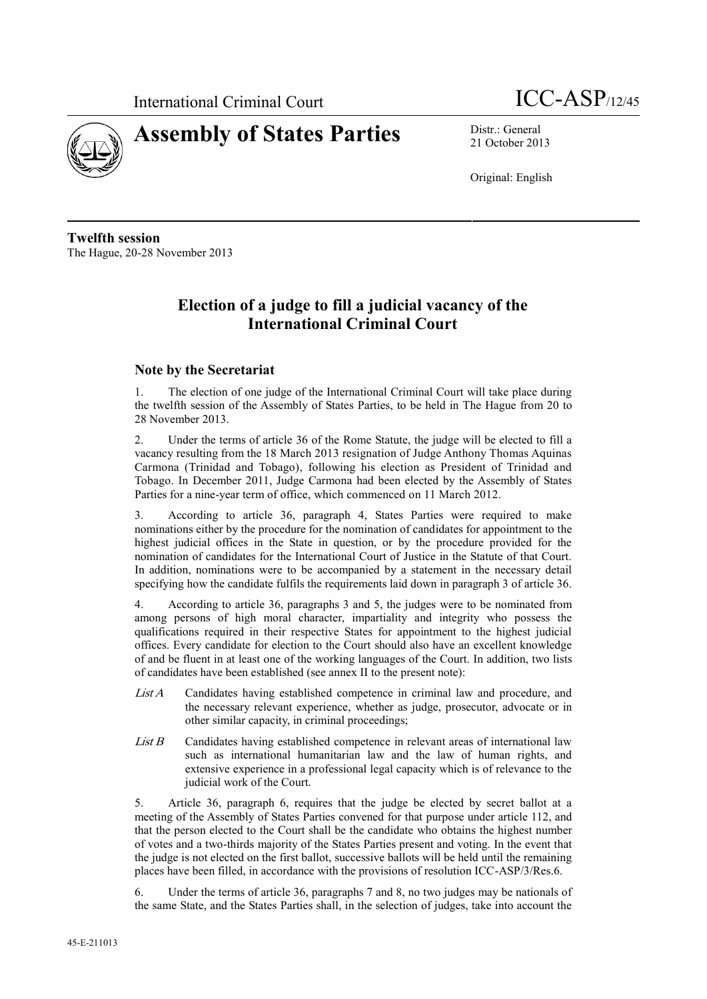



21 October 2013

Original: English

**Twelfth session** The Hague, 20-28 November 2013

# **Election of a judge to fill a judicial vacancy of the International Criminal Court**

## **Note by the Secretariat**

1. The election of one judge of the International Criminal Court will take place during the twelfth session of the Assembly of States Parties, to be held in The Hague from 20 to 28 November 2013.

2. Under the terms of article 36 of the Rome Statute, the judge will be elected to fill a vacancy resulting from the 18 March 2013 resignation of Judge Anthony Thomas Aquinas Carmona (Trinidad and Tobago), following his election as President of Trinidad and Tobago. In December 2011, Judge Carmona had been elected by the Assembly of States Parties for a nine-year term of office, which commenced on 11 March 2012.

3. According to article 36, paragraph 4, States Parties were required to make nominations either by the procedure for the nomination of candidates for appointment to the highest judicial offices in the State in question, or by the procedure provided for the nomination of candidates for the International Court of Justice in the Statute of that Court. In addition, nominations were to be accompanied by a statement in the necessary detail specifying how the candidate fulfils the requirements laid down in paragraph 3 of article 36.

4. According to article 36, paragraphs 3 and 5, the judges were to be nominated from among persons of high moral character, impartiality and integrity who possess the qualifications required in their respective States for appointment to the highest judicial offices. Every candidate for election to the Court should also have an excellent knowledge of and be fluent in at least one of the working languages of the Court. In addition, two lists of candidates have been established (see annex II to the present note):

- *List A* Candidates having established competence in criminal law and procedure, and the necessary relevant experience, whether as judge, prosecutor, advocate or in other similar capacity, in criminal proceedings;
- *List B* Candidates having established competence in relevant areas of international law such as international humanitarian law and the law of human rights, and extensive experience in a professional legal capacity which is of relevance to the judicial work of the Court.

5. Article 36, paragraph 6, requires that the judge be elected by secret ballot at a meeting of the Assembly of States Parties convened for that purpose under article 112, and that the person elected to the Court shall be the candidate who obtains the highest number of votes and a two-thirds majority of the States Parties present and voting. In the event that the judge is not elected on the first ballot, successive ballots will be held until the remaining places have been filled, in accordance with the provisions of resolution ICC-ASP/3/Res.6.

6. Under the terms of article 36, paragraphs 7 and 8, no two judges may be nationals of the same State, and the States Parties shall, in the selection of judges, take into account the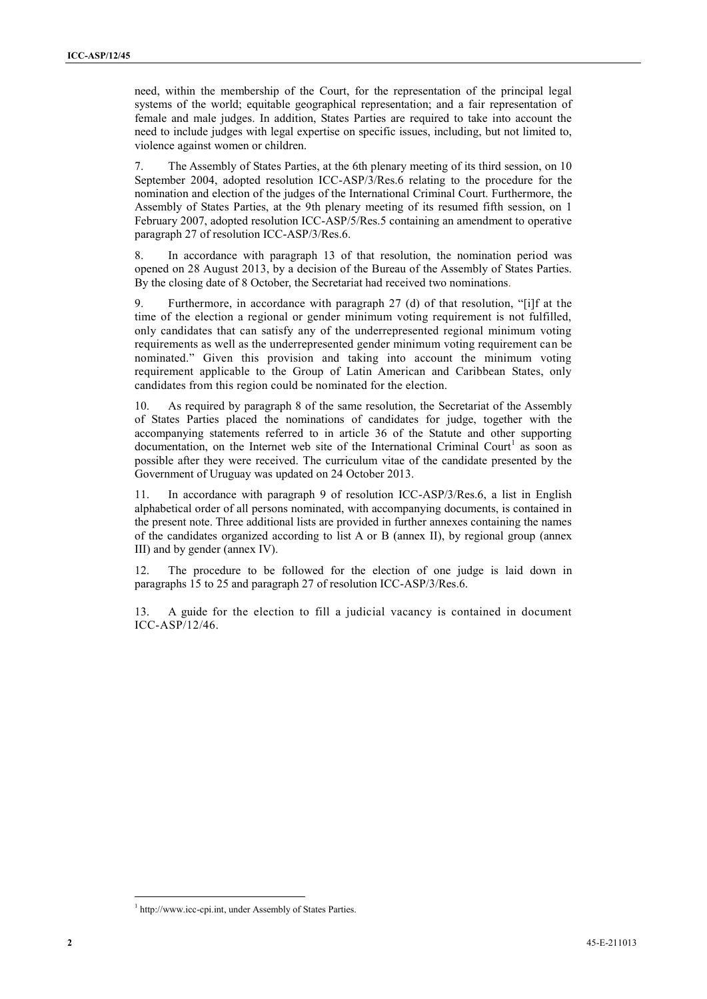need, within the membership of the Court, for the representation of the principal legal systems of the world; equitable geographical representation; and a fair representation of female and male judges. In addition, States Parties are required to take into account the need to include judges with legal expertise on specific issues, including, but not limited to, violence against women or children.

7. The Assembly of States Parties, at the 6th plenary meeting of its third session, on 10 September 2004, adopted resolution ICC-ASP/3/Res.6 relating to the procedure for the nomination and election of the judges of the International Criminal Court. Furthermore, the Assembly of States Parties, at the 9th plenary meeting of its resumed fifth session, on 1 February 2007, adopted resolution ICC-ASP/5/Res.5 containing an amendment to operative paragraph 27 of resolution ICC-ASP/3/Res.6.

8. In accordance with paragraph 13 of that resolution, the nomination period was opened on 28 August 2013, by a decision of the Bureau of the Assembly of States Parties. By the closing date of 8 October, the Secretariat had received two nominations.

9. Furthermore, in accordance with paragraph 27 (d) of that resolution, "[i]f at the time of the election a regional or gender minimum voting requirement is not fulfilled, only candidates that can satisfy any of the underrepresented regional minimum voting requirements as well as the underrepresented gender minimum voting requirement can be nominated." Given this provision and taking into account the minimum voting requirement applicable to the Group of Latin American and Caribbean States, only candidates from this region could be nominated for the election.

10. As required by paragraph 8 of the same resolution, the Secretariat of the Assembly of States Parties placed the nominations of candidates for judge, together with the accompanying statements referred to in article 36 of the Statute and other supporting documentation, on the Internet web site of the International Criminal Court<sup>1</sup> as soon as possible after they were received. The curriculum vitae of the candidate presented by the Government of Uruguay was updated on 24 October 2013.

11. In accordance with paragraph 9 of resolution ICC-ASP/3/Res.6, a list in English alphabetical order of all persons nominated, with accompanying documents, is contained in the present note. Three additional lists are provided in further annexes containing the names of the candidates organized according to list A or B (annex II), by regional group (annex III) and by gender (annex IV).

12. The procedure to be followed for the election of one judge is laid down in paragraphs 15 to 25 and paragraph 27 of resolution ICC-ASP/3/Res.6.

13. A guide for the election to fill a judicial vacancy is contained in document ICC-ASP/12/46.

<sup>&</sup>lt;sup>1</sup> http://www.icc-cpi.int, under Assembly of States Parties.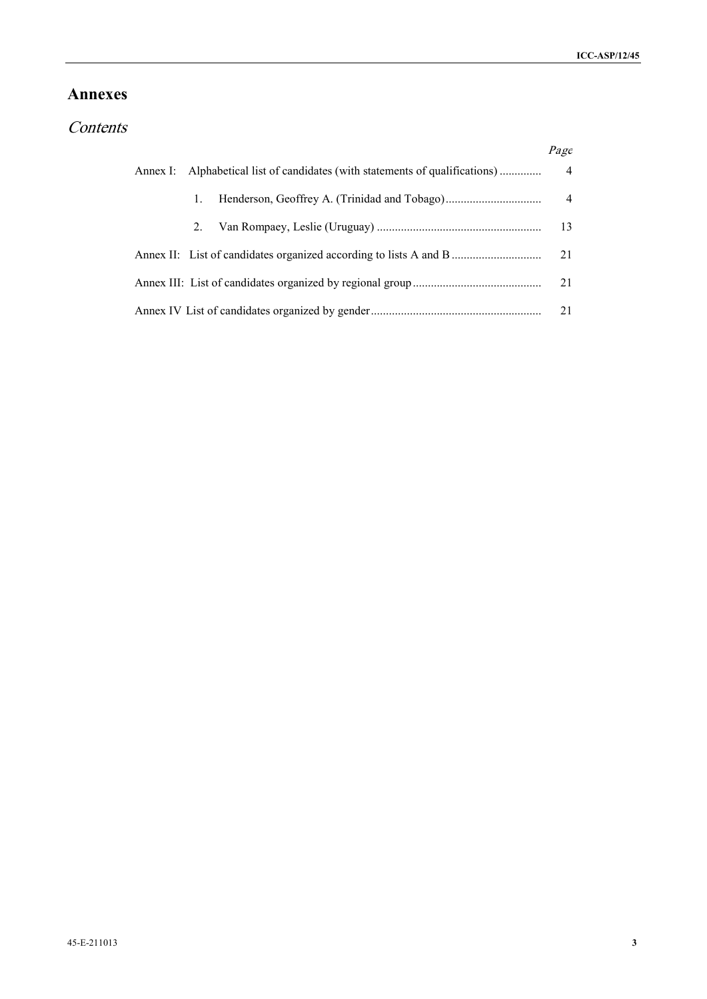## **Annexes**

# *Contents*

|    |                                                                              | Page           |  |
|----|------------------------------------------------------------------------------|----------------|--|
|    | Annex I: Alphabetical list of candidates (with statements of qualifications) | $\overline{4}$ |  |
|    |                                                                              | 4              |  |
| 2. |                                                                              | - 13           |  |
|    | Annex II: List of candidates organized according to lists A and B            | 21             |  |
|    |                                                                              | 21             |  |
|    |                                                                              | 21             |  |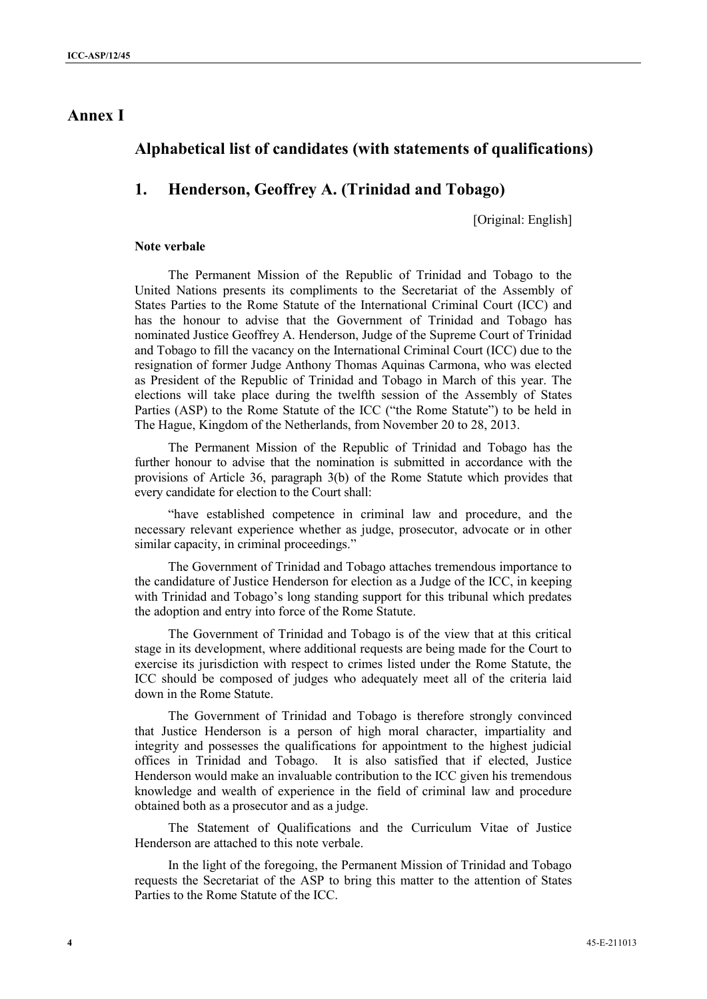## **Annex I**

## **Alphabetical list of candidates (with statements of qualifications)**

## **1. Henderson, Geoffrey A. (Trinidad and Tobago)**

[Original: English]

#### **Note verbale**

The Permanent Mission of the Republic of Trinidad and Tobago to the United Nations presents its compliments to the Secretariat of the Assembly of States Parties to the Rome Statute of the International Criminal Court (ICC) and has the honour to advise that the Government of Trinidad and Tobago has nominated Justice Geoffrey A. Henderson, Judge of the Supreme Court of Trinidad and Tobago to fill the vacancy on the International Criminal Court (ICC) due to the resignation of former Judge Anthony Thomas Aquinas Carmona, who was elected as President of the Republic of Trinidad and Tobago in March of this year. The elections will take place during the twelfth session of the Assembly of States Parties (ASP) to the Rome Statute of the ICC ("the Rome Statute") to be held in The Hague, Kingdom of the Netherlands, from November 20 to 28, 2013.

The Permanent Mission of the Republic of Trinidad and Tobago has the further honour to advise that the nomination is submitted in accordance with the provisions of Article 36, paragraph 3(b) of the Rome Statute which provides that every candidate for election to the Court shall:

"have established competence in criminal law and procedure, and the necessary relevant experience whether as judge, prosecutor, advocate or in other similar capacity, in criminal proceedings."

The Government of Trinidad and Tobago attaches tremendous importance to the candidature of Justice Henderson for election as a Judge of the ICC, in keeping with Trinidad and Tobago's long standing support for this tribunal which predates the adoption and entry into force of the Rome Statute.

The Government of Trinidad and Tobago is of the view that at this critical stage in its development, where additional requests are being made for the Court to exercise its jurisdiction with respect to crimes listed under the Rome Statute, the ICC should be composed of judges who adequately meet all of the criteria laid down in the Rome Statute.

The Government of Trinidad and Tobago is therefore strongly convinced that Justice Henderson is a person of high moral character, impartiality and integrity and possesses the qualifications for appointment to the highest judicial offices in Trinidad and Tobago. It is also satisfied that if elected, Justice Henderson would make an invaluable contribution to the ICC given his tremendous knowledge and wealth of experience in the field of criminal law and procedure obtained both as a prosecutor and as a judge.

The Statement of Qualifications and the Curriculum Vitae of Justice Henderson are attached to this note verbale.

In the light of the foregoing, the Permanent Mission of Trinidad and Tobago requests the Secretariat of the ASP to bring this matter to the attention of States Parties to the Rome Statute of the ICC.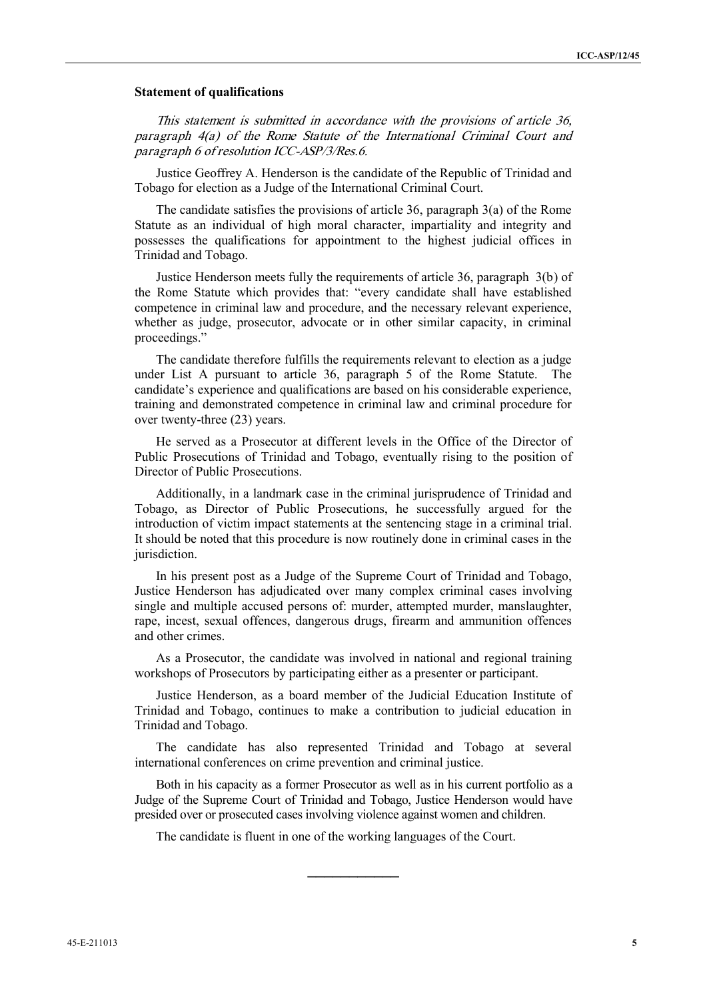#### **Statement of qualifications**

*This statement is submitted in accordance with the provisions of article 36, paragraph 4(a) of the Rome Statute of the International Criminal Court and paragraph 6 of resolution ICC-ASP/3/Res.6.*

Justice Geoffrey A. Henderson is the candidate of the Republic of Trinidad and Tobago for election as a Judge of the International Criminal Court.

The candidate satisfies the provisions of article 36, paragraph 3(a) of the Rome Statute as an individual of high moral character, impartiality and integrity and possesses the qualifications for appointment to the highest judicial offices in Trinidad and Tobago.

Justice Henderson meets fully the requirements of article 36, paragraph 3(b) of the Rome Statute which provides that: "every candidate shall have established competence in criminal law and procedure, and the necessary relevant experience, whether as judge, prosecutor, advocate or in other similar capacity, in criminal proceedings."

The candidate therefore fulfills the requirements relevant to election as a judge under List A pursuant to article 36, paragraph 5 of the Rome Statute. The candidate's experience and qualifications are based on his considerable experience, training and demonstrated competence in criminal law and criminal procedure for over twenty-three (23) years.

He served as a Prosecutor at different levels in the Office of the Director of Public Prosecutions of Trinidad and Tobago, eventually rising to the position of Director of Public Prosecutions.

Additionally, in a landmark case in the criminal jurisprudence of Trinidad and Tobago, as Director of Public Prosecutions, he successfully argued for the introduction of victim impact statements at the sentencing stage in a criminal trial. It should be noted that this procedure is now routinely done in criminal cases in the jurisdiction.

In his present post as a Judge of the Supreme Court of Trinidad and Tobago, Justice Henderson has adjudicated over many complex criminal cases involving single and multiple accused persons of: murder, attempted murder, manslaughter, rape, incest, sexual offences, dangerous drugs, firearm and ammunition offences and other crimes.

As a Prosecutor, the candidate was involved in national and regional training workshops of Prosecutors by participating either as a presenter or participant.

Justice Henderson, as a board member of the Judicial Education Institute of Trinidad and Tobago, continues to make a contribution to judicial education in Trinidad and Tobago.

The candidate has also represented Trinidad and Tobago at several international conferences on crime prevention and criminal justice.

Both in his capacity as a former Prosecutor as well as in his current portfolio as a Judge of the Supreme Court of Trinidad and Tobago, Justice Henderson would have presided over or prosecuted cases involving violence against women and children.

**\_\_\_\_\_\_\_\_\_\_\_**

The candidate is fluent in one of the working languages of the Court.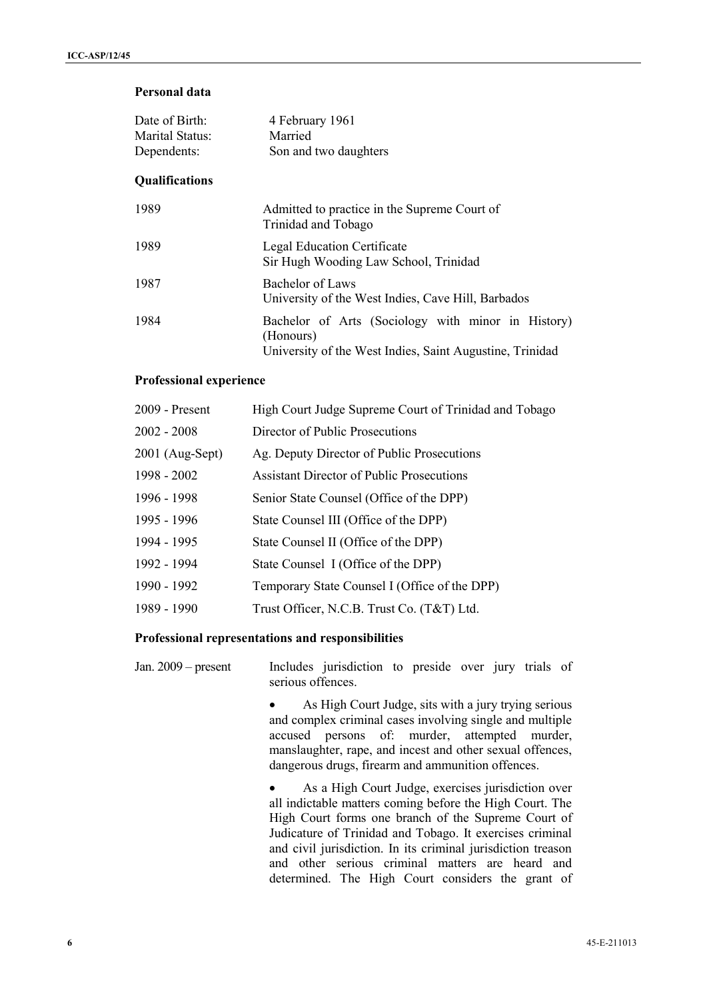## **Personal data**

| Date of Birth:<br>Marital Status:<br>Dependents: | 4 February 1961<br>Married<br>Son and two daughters                                                                         |
|--------------------------------------------------|-----------------------------------------------------------------------------------------------------------------------------|
| <b>Qualifications</b>                            |                                                                                                                             |
| 1989                                             | Admitted to practice in the Supreme Court of<br>Trinidad and Tobago                                                         |
| 1989                                             | <b>Legal Education Certificate</b><br>Sir Hugh Wooding Law School, Trinidad                                                 |
| 1987                                             | Bachelor of Laws<br>University of the West Indies, Cave Hill, Barbados                                                      |
| 1984                                             | Bachelor of Arts (Sociology with minor in History)<br>(Honours)<br>University of the West Indies, Saint Augustine, Trinidad |

### **Professional experience**

| 2009 - Present    | High Court Judge Supreme Court of Trinidad and Tobago |
|-------------------|-------------------------------------------------------|
| $2002 - 2008$     | Director of Public Prosecutions                       |
| $2001$ (Aug-Sept) | Ag. Deputy Director of Public Prosecutions            |
| 1998 - 2002       | <b>Assistant Director of Public Prosecutions</b>      |
| 1996 - 1998       | Senior State Counsel (Office of the DPP)              |
| 1995 - 1996       | State Counsel III (Office of the DPP)                 |
| 1994 - 1995       | State Counsel II (Office of the DPP)                  |
| 1992 - 1994       | State Counsel I (Office of the DPP)                   |
| 1990 - 1992       | Temporary State Counsel I (Office of the DPP)         |
| 1989 - 1990       | Trust Officer, N.C.B. Trust Co. (T&T) Ltd.            |
|                   |                                                       |

### **Professional representations and responsibilities**

| Jan. $2009$ – present |                   | Includes jurisdiction to preside over jury trials of |  |  |  |  |
|-----------------------|-------------------|------------------------------------------------------|--|--|--|--|
|                       | serious offences. |                                                      |  |  |  |  |

 As High Court Judge, sits with a jury trying serious and complex criminal cases involving single and multiple accused persons of: murder, attempted murder, manslaughter, rape, and incest and other sexual offences, dangerous drugs, firearm and ammunition offences.

 As a High Court Judge, exercises jurisdiction over all indictable matters coming before the High Court. The High Court forms one branch of the Supreme Court of Judicature of Trinidad and Tobago. It exercises criminal and civil jurisdiction. In its criminal jurisdiction treason and other serious criminal matters are heard and determined. The High Court considers the grant of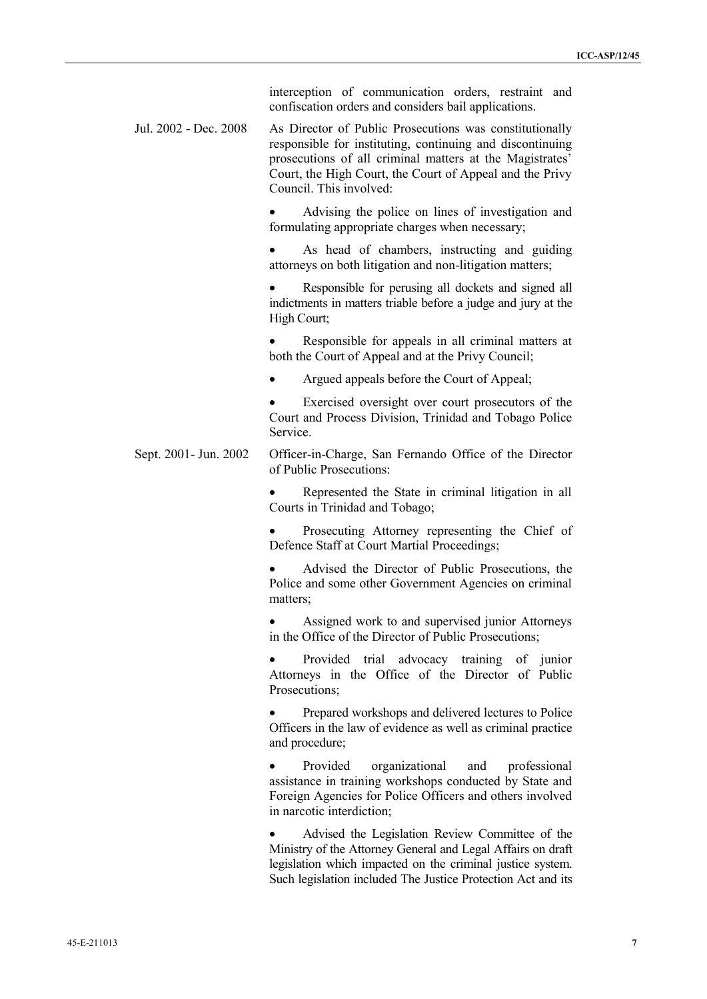|                       | interception of communication orders, restraint and<br>confiscation orders and considers bail applications.                                                                                                                                                             |
|-----------------------|-------------------------------------------------------------------------------------------------------------------------------------------------------------------------------------------------------------------------------------------------------------------------|
| Jul. 2002 - Dec. 2008 | As Director of Public Prosecutions was constitutionally<br>responsible for instituting, continuing and discontinuing<br>prosecutions of all criminal matters at the Magistrates'<br>Court, the High Court, the Court of Appeal and the Privy<br>Council. This involved: |
|                       | Advising the police on lines of investigation and<br>formulating appropriate charges when necessary;                                                                                                                                                                    |
|                       | As head of chambers, instructing and guiding<br>attorneys on both litigation and non-litigation matters;                                                                                                                                                                |
|                       | Responsible for perusing all dockets and signed all<br>indictments in matters triable before a judge and jury at the<br>High Court;                                                                                                                                     |
|                       | Responsible for appeals in all criminal matters at<br>both the Court of Appeal and at the Privy Council;                                                                                                                                                                |
|                       | Argued appeals before the Court of Appeal;                                                                                                                                                                                                                              |
|                       | Exercised oversight over court prosecutors of the<br>Court and Process Division, Trinidad and Tobago Police<br>Service.                                                                                                                                                 |
| Sept. 2001- Jun. 2002 | Officer-in-Charge, San Fernando Office of the Director<br>of Public Prosecutions:                                                                                                                                                                                       |
|                       | Represented the State in criminal litigation in all<br>Courts in Trinidad and Tobago;                                                                                                                                                                                   |
|                       | Prosecuting Attorney representing the Chief of<br>Defence Staff at Court Martial Proceedings;                                                                                                                                                                           |
|                       | Advised the Director of Public Prosecutions, the<br>Police and some other Government Agencies on criminal<br>matters;                                                                                                                                                   |
|                       | Assigned work to and supervised junior Attorneys<br>in the Office of the Director of Public Prosecutions;                                                                                                                                                               |
|                       | Provided trial advocacy training of junior<br>Attorneys in the Office of the Director of Public<br>Prosecutions;                                                                                                                                                        |
|                       | Prepared workshops and delivered lectures to Police<br>Officers in the law of evidence as well as criminal practice<br>and procedure;                                                                                                                                   |
|                       | Provided<br>organizational<br>professional<br>and<br>assistance in training workshops conducted by State and<br>Foreign Agencies for Police Officers and others involved<br>in narcotic interdiction;                                                                   |
|                       | Advised the Legislation Review Committee of the<br>Ministry of the Attorney General and Legal Affairs on draft<br>legislation which impacted on the criminal justice system.                                                                                            |

Such legislation included The Justice Protection Act and its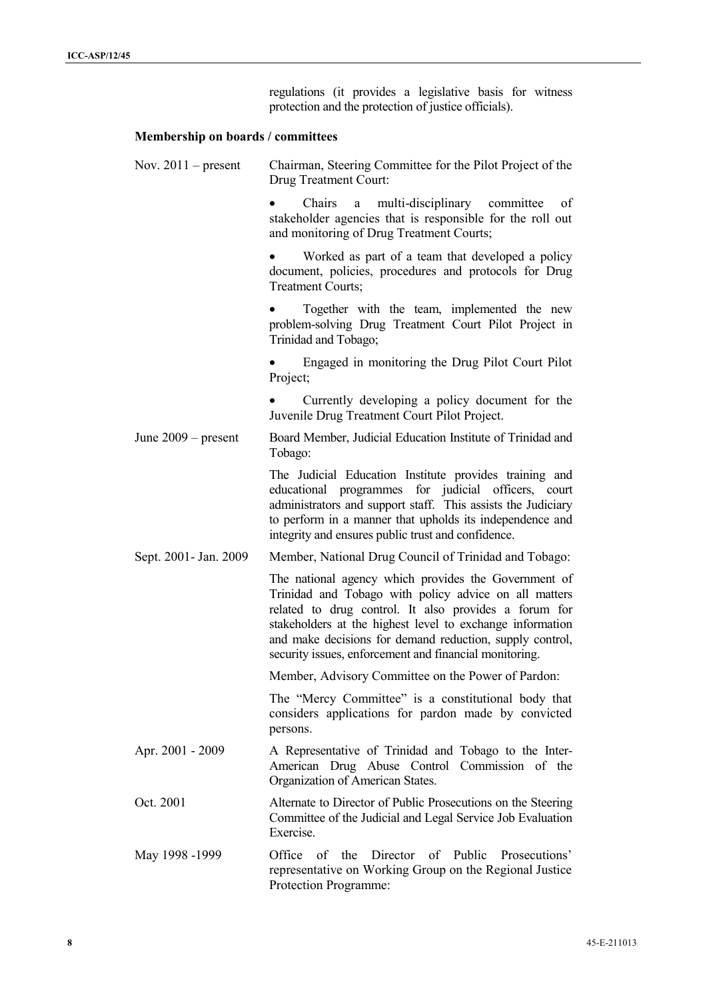regulations (it provides a legislative basis for witness protection and the protection of justice officials).

## **Membership on boards / committees**

| Nov. $2011$ – present  | Chairman, Steering Committee for the Pilot Project of the<br>Drug Treatment Court:                                                                                                                                                                                                                                                                        |  |  |  |
|------------------------|-----------------------------------------------------------------------------------------------------------------------------------------------------------------------------------------------------------------------------------------------------------------------------------------------------------------------------------------------------------|--|--|--|
|                        | Chairs<br>multi-disciplinary<br>committee<br>of<br>a a<br>stakeholder agencies that is responsible for the roll out<br>and monitoring of Drug Treatment Courts;                                                                                                                                                                                           |  |  |  |
|                        | Worked as part of a team that developed a policy<br>document, policies, procedures and protocols for Drug<br>Treatment Courts;                                                                                                                                                                                                                            |  |  |  |
|                        | Together with the team, implemented the new<br>problem-solving Drug Treatment Court Pilot Project in<br>Trinidad and Tobago;                                                                                                                                                                                                                              |  |  |  |
|                        | Engaged in monitoring the Drug Pilot Court Pilot<br>Project;                                                                                                                                                                                                                                                                                              |  |  |  |
|                        | Currently developing a policy document for the<br>Juvenile Drug Treatment Court Pilot Project.                                                                                                                                                                                                                                                            |  |  |  |
| June $2009$ – present  | Board Member, Judicial Education Institute of Trinidad and<br>Tobago:                                                                                                                                                                                                                                                                                     |  |  |  |
|                        | The Judicial Education Institute provides training and<br>educational programmes for judicial officers, court<br>administrators and support staff. This assists the Judiciary<br>to perform in a manner that upholds its independence and<br>integrity and ensures public trust and confidence.                                                           |  |  |  |
| Sept. 2001 - Jan. 2009 | Member, National Drug Council of Trinidad and Tobago:                                                                                                                                                                                                                                                                                                     |  |  |  |
|                        | The national agency which provides the Government of<br>Trinidad and Tobago with policy advice on all matters<br>related to drug control. It also provides a forum for<br>stakeholders at the highest level to exchange information<br>and make decisions for demand reduction, supply control,<br>security issues, enforcement and financial monitoring. |  |  |  |
|                        | Member, Advisory Committee on the Power of Pardon:                                                                                                                                                                                                                                                                                                        |  |  |  |
|                        | The "Mercy Committee" is a constitutional body that<br>considers applications for pardon made by convicted<br>persons.                                                                                                                                                                                                                                    |  |  |  |
| Apr. 2001 - 2009       | A Representative of Trinidad and Tobago to the Inter-<br>American Drug Abuse Control Commission of the<br>Organization of American States.                                                                                                                                                                                                                |  |  |  |
| Oct. 2001              | Alternate to Director of Public Prosecutions on the Steering<br>Committee of the Judicial and Legal Service Job Evaluation<br>Exercise.                                                                                                                                                                                                                   |  |  |  |
| May 1998 -1999         | Office of the Director of Public Prosecutions'<br>representative on Working Group on the Regional Justice<br>Protection Programme:                                                                                                                                                                                                                        |  |  |  |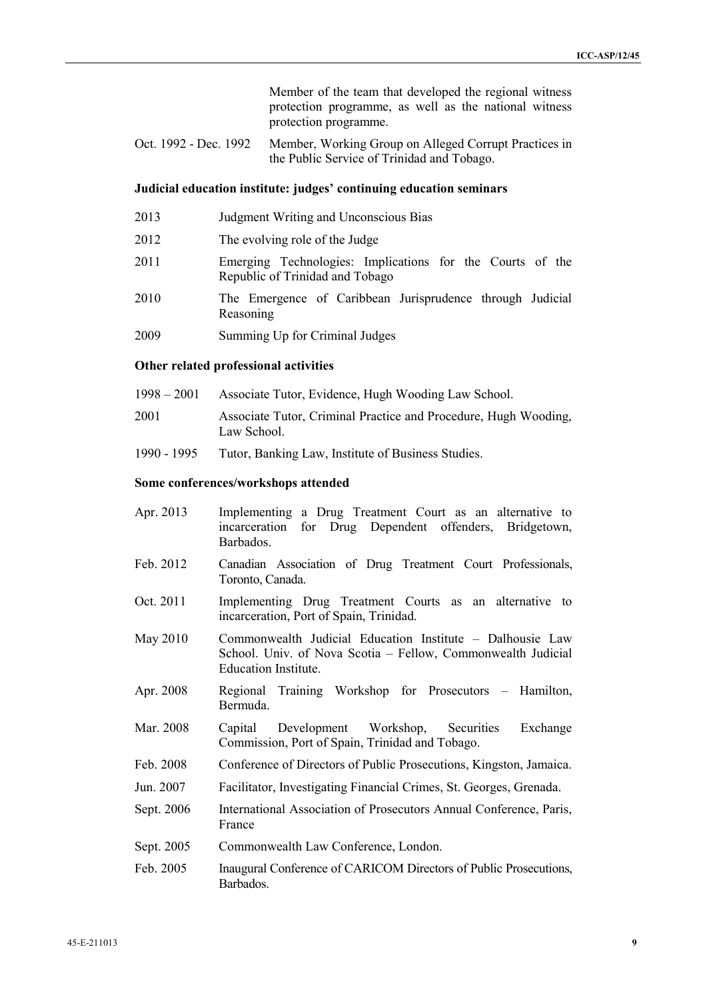Member of the team that developed the regional witness protection programme, as well as the national witness protection programme.

Oct. 1992 - Dec. 1992 Member, Working Group on Alleged Corrupt Practices in the Public Service of Trinidad and Tobago.

#### **Judicial education institute: judges' continuing education seminars**

- 2013 Judgment Writing and Unconscious Bias
- 2012 The evolving role of the Judge
- 2011 Emerging Technologies: Implications for the Courts of the Republic of Trinidad and Tobago
- 2010 The Emergence of Caribbean Jurisprudence through Judicial Reasoning
- 2009 Summing Up for Criminal Judges

#### **Other related professional activities**

- 1998 2001 Associate Tutor, Evidence, Hugh Wooding Law School.
- 2001 Associate Tutor, Criminal Practice and Procedure, Hugh Wooding, Law School.
- 1990 1995 Tutor, Banking Law, Institute of Business Studies.

#### **Some conferences/workshops attended**

- Apr. 2013 Implementing a Drug Treatment Court as an alternative to incarceration for Drug Dependent offenders, Bridgetown, Barbados.
- Feb. 2012 Canadian Association of Drug Treatment Court Professionals, Toronto, Canada.
- Oct. 2011 Implementing Drug Treatment Courts as an alternative to incarceration, Port of Spain, Trinidad.
- May 2010 Commonwealth Judicial Education Institute Dalhousie Law School. Univ. of Nova Scotia – Fellow, Commonwealth Judicial Education Institute.
- Apr. 2008 Regional Training Workshop for Prosecutors Hamilton, Bermuda.
- Mar. 2008 Capital Development Workshop, Securities Exchange Commission, Port of Spain, Trinidad and Tobago.
- Feb. 2008 Conference of Directors of Public Prosecutions, Kingston, Jamaica.
- Jun. 2007 Facilitator, Investigating Financial Crimes, St. Georges, Grenada.
- Sept. 2006 International Association of Prosecutors Annual Conference, Paris, France
- Sept. 2005 Commonwealth Law Conference, London.
- Feb. 2005 Inaugural Conference of CARICOM Directors of Public Prosecutions, Barbados.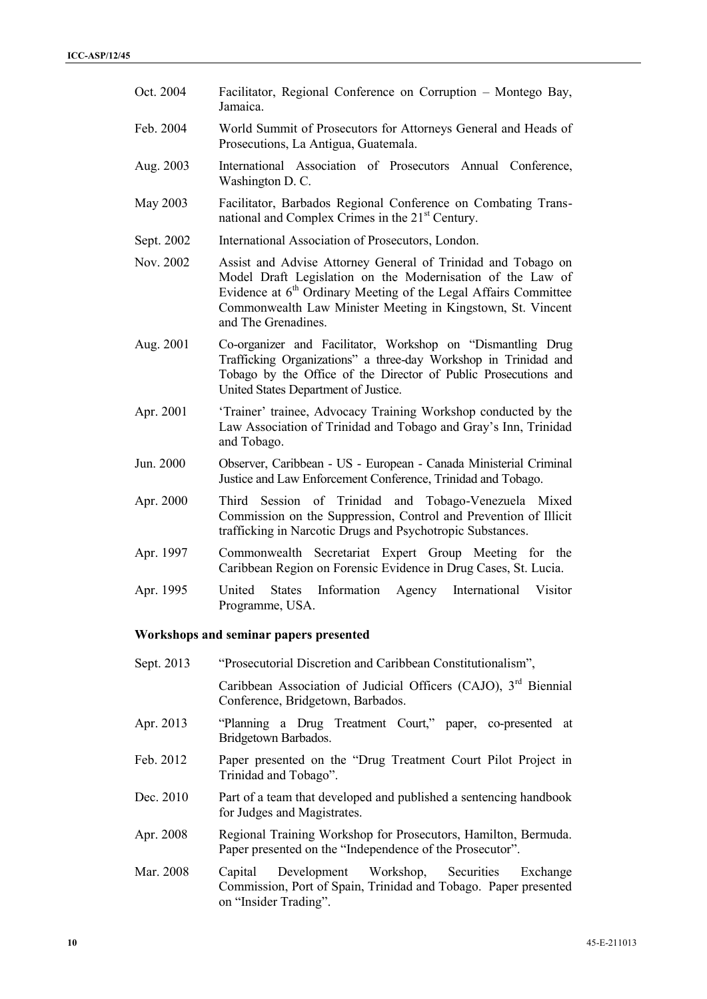- Oct. 2004 Facilitator, Regional Conference on Corruption Montego Bay, Jamaica. Feb. 2004 World Summit of Prosecutors for Attorneys General and Heads of Prosecutions, La Antigua, Guatemala. Aug. 2003 International Association of Prosecutors Annual Conference, Washington D. C. May 2003 Facilitator, Barbados Regional Conference on Combating Trans national and Complex Crimes in the 21<sup>st</sup> Century. Sept. 2002 International Association of Prosecutors, London. Nov. 2002 Assist and Advise Attorney General of Trinidad and Tobago on Model Draft Legislation on the Modernisation of the Law of Evidence at  $6<sup>th</sup>$  Ordinary Meeting of the Legal Affairs Committee Commonwealth Law Minister Meeting in Kingstown, St. Vincent and The Grenadines. Aug. 2001 Co-organizer and Facilitator, Workshop on "Dismantling Drug Trafficking Organizations" a three-day Workshop in Trinidad and Tobago by the Office of the Director of Public Prosecutions and United States Department of Justice. Apr. 2001 'Trainer' trainee, Advocacy Training Workshop conducted by the Law Association of Trinidad and Tobago and Gray's Inn, Trinidad and Tobago. Jun. 2000 Observer, Caribbean - US - European - Canada Ministerial Criminal Justice and Law Enforcement Conference, Trinidad and Tobago. Apr. 2000 Third Session of Trinidad and Tobago-Venezuela Mixed Commission on the Suppression, Control and Prevention of Illicit trafficking in Narcotic Drugs and Psychotropic Substances. Apr. 1997 Commonwealth Secretariat Expert Group Meeting for the Caribbean Region on Forensic Evidence in Drug Cases, St. Lucia. Apr. 1995 United States Information Agency International Visitor Programme, USA. **Workshops and seminar papers presented** Sept. 2013 "Prosecutorial Discretion and Caribbean Constitutionalism", Caribbean Association of Judicial Officers (CAJO), 3<sup>rd</sup> Biennial Conference, Bridgetown, Barbados. Apr. 2013 "Planning a Drug Treatment Court," paper, co-presented at Bridgetown Barbados. Feb. 2012 Paper presented on the "Drug Treatment Court Pilot Project in Trinidad and Tobago".
- Dec. 2010 Part of a team that developed and published a sentencing handbook for Judges and Magistrates.
- Apr. 2008 Regional Training Workshop for Prosecutors, Hamilton, Bermuda. Paper presented on the "Independence of the Prosecutor".
- Mar. 2008 Capital Development Workshop, Securities Exchange Commission, Port of Spain, Trinidad and Tobago. Paper presented on "Insider Trading".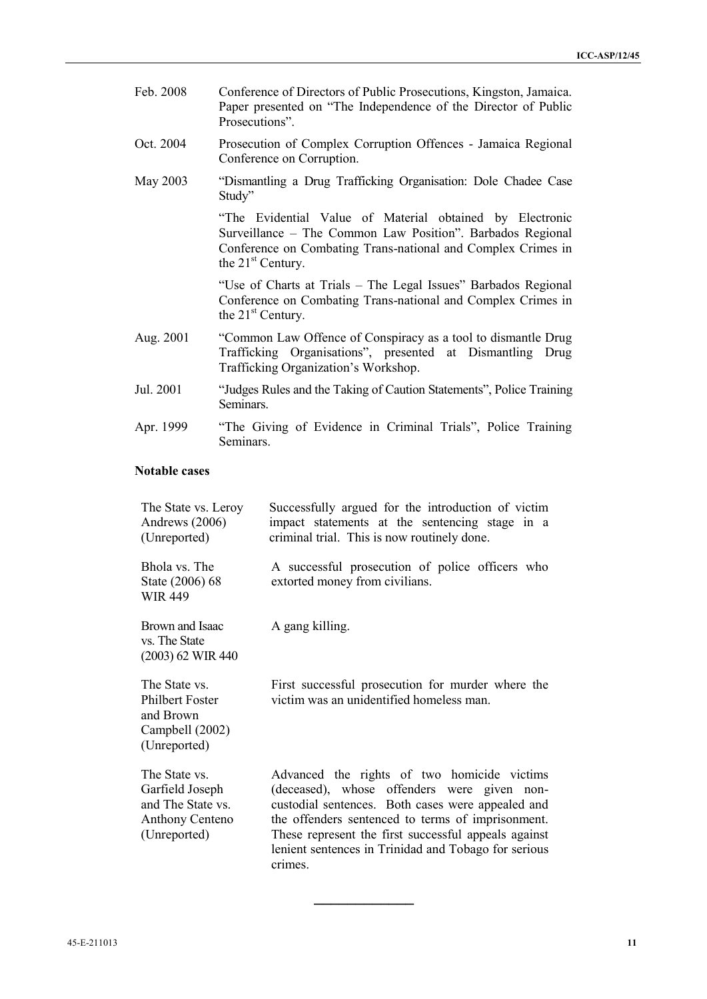| Feb. 2008 | Conference of Directors of Public Prosecutions, Kingston, Jamaica.<br>Paper presented on "The Independence of the Director of Public<br>Prosecutions".                                                        |
|-----------|---------------------------------------------------------------------------------------------------------------------------------------------------------------------------------------------------------------|
| Oct. 2004 | Prosecution of Complex Corruption Offences - Jamaica Regional<br>Conference on Corruption.                                                                                                                    |
| May 2003  | "Dismantling a Drug Trafficking Organisation: Dole Chadee Case<br>Study"                                                                                                                                      |
|           | "The Evidential Value of Material obtained by Electronic<br>Surveillance - The Common Law Position". Barbados Regional<br>Conference on Combating Trans-national and Complex Crimes in<br>the $21st$ Century. |
|           | "Use of Charts at Trials – The Legal Issues" Barbados Regional<br>Conference on Combating Trans-national and Complex Crimes in<br>the $21st$ Century.                                                         |
| Aug. 2001 | "Common Law Offence of Conspiracy as a tool to dismantle Drug<br>Trafficking Organisations", presented at Dismantling Drug<br>Trafficking Organization's Workshop.                                            |
| Jul. 2001 | "Judges Rules and the Taking of Caution Statements", Police Training<br>Seminars.                                                                                                                             |
| Apr. 1999 | "The Giving of Evidence in Criminal Trials", Police Training<br>Seminars.                                                                                                                                     |

## **Notable cases**

| The State vs. Leroy<br>Andrews (2006)<br>(Unreported)                                           | Successfully argued for the introduction of victim<br>impact statements at the sentencing stage in a<br>criminal trial. This is now routinely done.                                                                                                                                                                             |
|-------------------------------------------------------------------------------------------------|---------------------------------------------------------------------------------------------------------------------------------------------------------------------------------------------------------------------------------------------------------------------------------------------------------------------------------|
| Bhola vs. The<br>State (2006) 68<br>WIR 449                                                     | A successful prosecution of police officers who<br>extorted money from civilians.                                                                                                                                                                                                                                               |
| Brown and Isaac<br>vs. The State<br>(2003) 62 WIR 440                                           | A gang killing.                                                                                                                                                                                                                                                                                                                 |
| The State vs.<br>Philbert Foster<br>and Brown<br>Campbell (2002)<br>(Unreported)                | First successful prosecution for murder where the<br>victim was an unidentified homeless man.                                                                                                                                                                                                                                   |
| The State vs.<br>Garfield Joseph<br>and The State vs.<br><b>Anthony Centeno</b><br>(Unreported) | Advanced the rights of two homicide victims<br>(deceased), whose offenders were given non-<br>custodial sentences. Both cases were appealed and<br>the offenders sentenced to terms of imprisonment.<br>These represent the first successful appeals against<br>lenient sentences in Trinidad and Tobago for serious<br>crimes. |

**\_\_\_\_\_\_\_\_\_\_\_\_**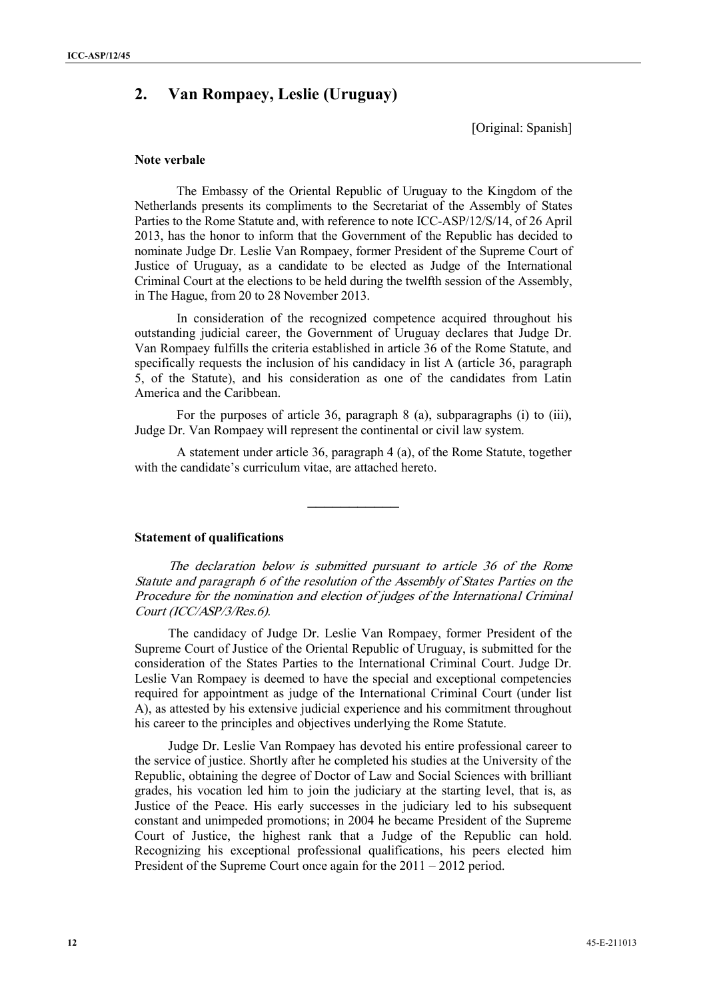# **2. Van Rompaey, Leslie (Uruguay)**

[Original: Spanish]

#### **Note verbale**

The Embassy of the Oriental Republic of Uruguay to the Kingdom of the Netherlands presents its compliments to the Secretariat of the Assembly of States Parties to the Rome Statute and, with reference to note ICC-ASP/12/S/14, of 26 April 2013, has the honor to inform that the Government of the Republic has decided to nominate Judge Dr. Leslie Van Rompaey, former President of the Supreme Court of Justice of Uruguay, as a candidate to be elected as Judge of the International Criminal Court at the elections to be held during the twelfth session of the Assembly, in The Hague, from 20 to 28 November 2013.

In consideration of the recognized competence acquired throughout his outstanding judicial career, the Government of Uruguay declares that Judge Dr. Van Rompaey fulfills the criteria established in article 36 of the Rome Statute, and specifically requests the inclusion of his candidacy in list A (article 36, paragraph 5, of the Statute), and his consideration as one of the candidates from Latin America and the Caribbean.

For the purposes of article 36, paragraph 8 (a), subparagraphs (i) to (iii), Judge Dr. Van Rompaey will represent the continental or civil law system.

A statement under article 36, paragraph 4 (a), of the Rome Statute, together with the candidate's curriculum vitae, are attached hereto.

**\_\_\_\_\_\_\_\_\_\_\_**

### **Statement of qualifications**

*The declaration below is submitted pursuant to article 36 of the Rome Statute and paragraph 6 of the resolution of the Assembly of States Parties on the Procedure for the nomination and election of judges of the International Criminal Court (ICC/ASP/3/Res.6).*

The candidacy of Judge Dr. Leslie Van Rompaey, former President of the Supreme Court of Justice of the Oriental Republic of Uruguay, is submitted for the consideration of the States Parties to the International Criminal Court. Judge Dr. Leslie Van Rompaey is deemed to have the special and exceptional competencies required for appointment as judge of the International Criminal Court (under list A), as attested by his extensive judicial experience and his commitment throughout his career to the principles and objectives underlying the Rome Statute.

Judge Dr. Leslie Van Rompaey has devoted his entire professional career to the service of justice. Shortly after he completed his studies at the University of the Republic, obtaining the degree of Doctor of Law and Social Sciences with brilliant grades, his vocation led him to join the judiciary at the starting level, that is, as Justice of the Peace. His early successes in the judiciary led to his subsequent constant and unimpeded promotions; in 2004 he became President of the Supreme Court of Justice, the highest rank that a Judge of the Republic can hold. Recognizing his exceptional professional qualifications, his peers elected him President of the Supreme Court once again for the 2011 – 2012 period.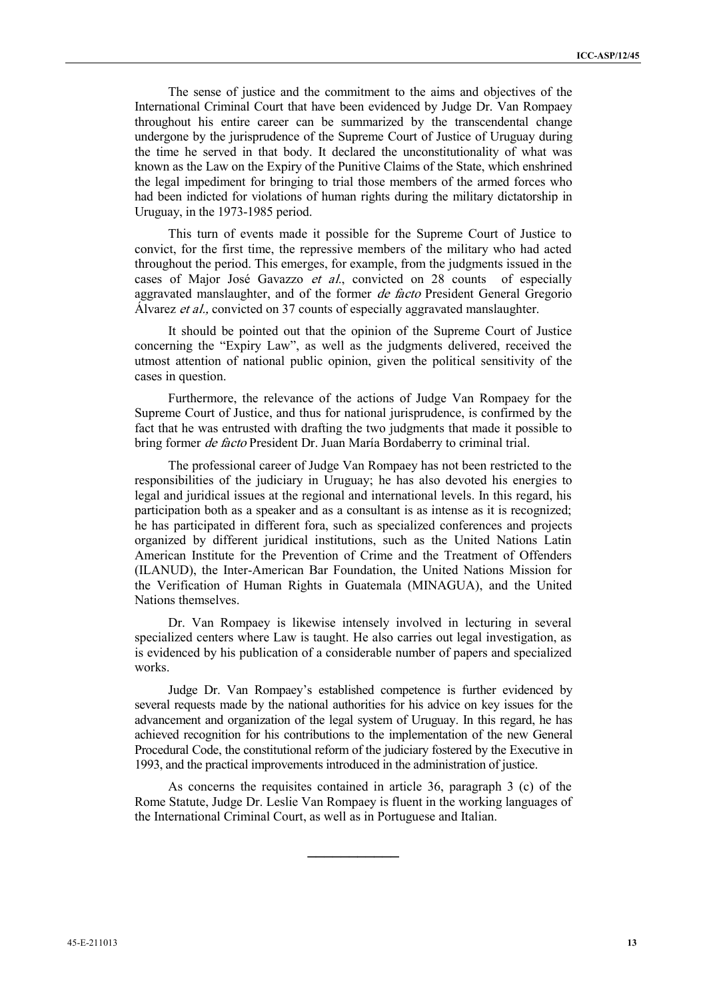The sense of justice and the commitment to the aims and objectives of the International Criminal Court that have been evidenced by Judge Dr. Van Rompaey throughout his entire career can be summarized by the transcendental change undergone by the jurisprudence of the Supreme Court of Justice of Uruguay during the time he served in that body. It declared the unconstitutionality of what was known as the Law on the Expiry of the Punitive Claims of the State, which enshrined the legal impediment for bringing to trial those members of the armed forces who had been indicted for violations of human rights during the military dictatorship in Uruguay, in the 1973-1985 period.

This turn of events made it possible for the Supreme Court of Justice to convict, for the first time, the repressive members of the military who had acted throughout the period. This emerges, for example, from the judgments issued in the cases of Major José Gavazzo *et al*., convicted on 28 counts of especially aggravated manslaughter, and of the former *de facto* President General Gregorio Álvarez *et al.,* convicted on 37 counts of especially aggravated manslaughter.

It should be pointed out that the opinion of the Supreme Court of Justice concerning the "Expiry Law", as well as the judgments delivered, received the utmost attention of national public opinion, given the political sensitivity of the cases in question.

Furthermore, the relevance of the actions of Judge Van Rompaey for the Supreme Court of Justice, and thus for national jurisprudence, is confirmed by the fact that he was entrusted with drafting the two judgments that made it possible to bring former *de facto* President Dr. Juan María Bordaberry to criminal trial.

The professional career of Judge Van Rompaey has not been restricted to the responsibilities of the judiciary in Uruguay; he has also devoted his energies to legal and juridical issues at the regional and international levels. In this regard, his participation both as a speaker and as a consultant is as intense as it is recognized; he has participated in different fora, such as specialized conferences and projects organized by different juridical institutions, such as the United Nations Latin American Institute for the Prevention of Crime and the Treatment of Offenders (ILANUD), the Inter-American Bar Foundation, the United Nations Mission for the Verification of Human Rights in Guatemala (MINAGUA), and the United Nations themselves.

Dr. Van Rompaey is likewise intensely involved in lecturing in several specialized centers where Law is taught. He also carries out legal investigation, as is evidenced by his publication of a considerable number of papers and specialized works.

Judge Dr. Van Rompaey's established competence is further evidenced by several requests made by the national authorities for his advice on key issues for the advancement and organization of the legal system of Uruguay. In this regard, he has achieved recognition for his contributions to the implementation of the new General Procedural Code, the constitutional reform of the judiciary fostered by the Executive in 1993, and the practical improvements introduced in the administration of justice.

As concerns the requisites contained in article 36, paragraph 3 (c) of the Rome Statute, Judge Dr. Leslie Van Rompaey is fluent in the working languages of the International Criminal Court, as well as in Portuguese and Italian.

**\_\_\_\_\_\_\_\_\_\_\_**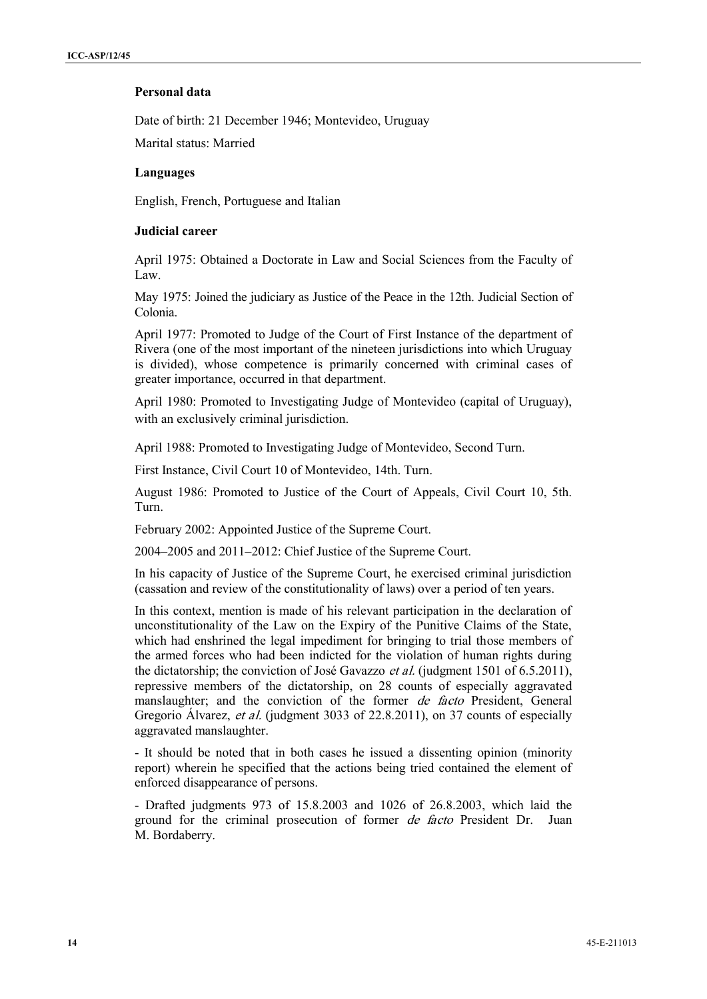### **Personal data**

Date of birth: 21 December 1946; Montevideo, Uruguay

Marital status: Married

### **Languages**

English, French, Portuguese and Italian

### **Judicial career**

April 1975: Obtained a Doctorate in Law and Social Sciences from the Faculty of Law.

May 1975: Joined the judiciary as Justice of the Peace in the 12th. Judicial Section of Colonia.

April 1977: Promoted to Judge of the Court of First Instance of the department of Rivera (one of the most important of the nineteen jurisdictions into which Uruguay is divided), whose competence is primarily concerned with criminal cases of greater importance, occurred in that department.

April 1980: Promoted to Investigating Judge of Montevideo (capital of Uruguay), with an exclusively criminal jurisdiction.

April 1988: Promoted to Investigating Judge of Montevideo, Second Turn.

First Instance, Civil Court 10 of Montevideo, 14th. Turn.

August 1986: Promoted to Justice of the Court of Appeals, Civil Court 10, 5th. Turn.

February 2002: Appointed Justice of the Supreme Court.

2004–2005 and 2011–2012: Chief Justice of the Supreme Court.

In his capacity of Justice of the Supreme Court, he exercised criminal jurisdiction (cassation and review of the constitutionality of laws) over a period of ten years.

In this context, mention is made of his relevant participation in the declaration of unconstitutionality of the Law on the Expiry of the Punitive Claims of the State, which had enshrined the legal impediment for bringing to trial those members of the armed forces who had been indicted for the violation of human rights during the dictatorship; the conviction of José Gavazzo *et al.* (judgment 1501 of 6.5.2011), repressive members of the dictatorship, on 28 counts of especially aggravated manslaughter; and the conviction of the former *de facto* President, General Gregorio Álvarez, *et al.* (judgment 3033 of 22.8.2011), on 37 counts of especially aggravated manslaughter.

- It should be noted that in both cases he issued a dissenting opinion (minority report) wherein he specified that the actions being tried contained the element of enforced disappearance of persons.

- Drafted judgments 973 of 15.8.2003 and 1026 of 26.8.2003, which laid the ground for the criminal prosecution of former *de facto* President Dr. Juan M. Bordaberry.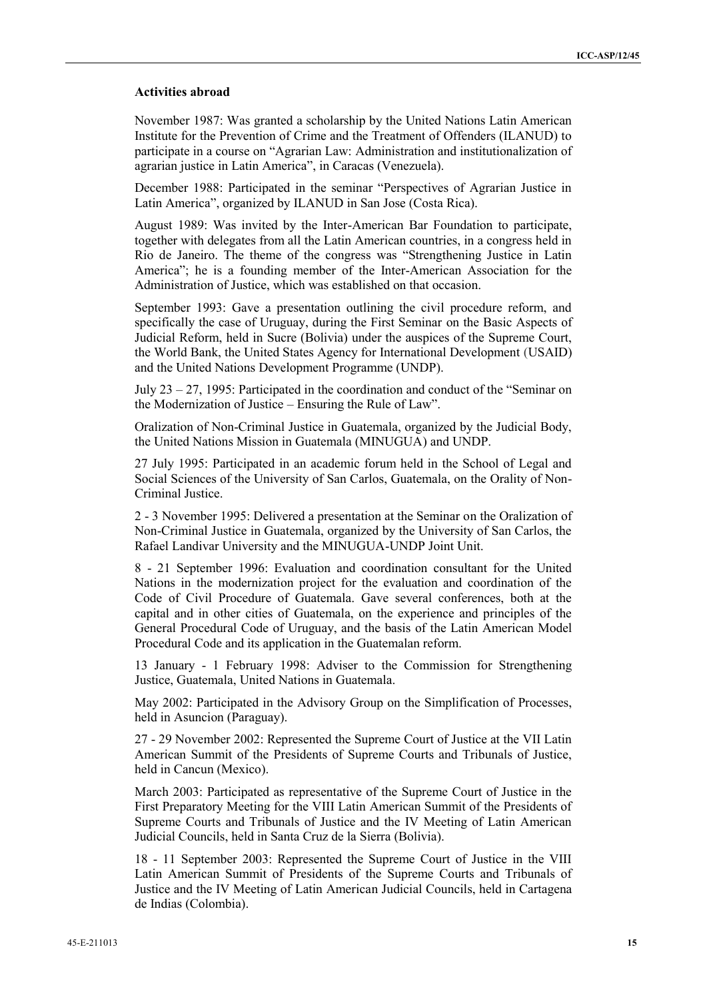#### **Activities abroad**

November 1987: Was granted a scholarship by the United Nations Latin American Institute for the Prevention of Crime and the Treatment of Offenders (ILANUD) to participate in a course on "Agrarian Law: Administration and institutionalization of agrarian justice in Latin America", in Caracas (Venezuela).

December 1988: Participated in the seminar "Perspectives of Agrarian Justice in Latin America", organized by ILANUD in San Jose (Costa Rica).

August 1989: Was invited by the Inter-American Bar Foundation to participate, together with delegates from all the Latin American countries, in a congress held in Rio de Janeiro. The theme of the congress was "Strengthening Justice in Latin America"; he is a founding member of the Inter-American Association for the Administration of Justice, which was established on that occasion.

September 1993: Gave a presentation outlining the civil procedure reform, and specifically the case of Uruguay, during the First Seminar on the Basic Aspects of Judicial Reform, held in Sucre (Bolivia) under the auspices of the Supreme Court, the World Bank, the United States Agency for International Development (USAID) and the United Nations Development Programme (UNDP).

July 23 – 27, 1995: Participated in the coordination and conduct of the "Seminar on the Modernization of Justice – Ensuring the Rule of Law".

Oralization of Non-Criminal Justice in Guatemala, organized by the Judicial Body, the United Nations Mission in Guatemala (MINUGUA) and UNDP.

27 July 1995: Participated in an academic forum held in the School of Legal and Social Sciences of the University of San Carlos, Guatemala, on the Orality of Non- Criminal Justice.

2 - 3 November 1995: Delivered a presentation at the Seminar on the Oralization of Non-Criminal Justice in Guatemala, organized by the University of San Carlos, the Rafael Landivar University and the MINUGUA-UNDP Joint Unit.

8 - 21 September 1996: Evaluation and coordination consultant for the United Nations in the modernization project for the evaluation and coordination of the Code of Civil Procedure of Guatemala. Gave several conferences, both at the capital and in other cities of Guatemala, on the experience and principles of the General Procedural Code of Uruguay, and the basis of the Latin American Model Procedural Code and its application in the Guatemalan reform.

13 January - 1 February 1998: Adviser to the Commission for Strengthening Justice, Guatemala, United Nations in Guatemala.

May 2002: Participated in the Advisory Group on the Simplification of Processes, held in Asuncion (Paraguay).

27 - 29 November 2002: Represented the Supreme Court of Justice at the VII Latin American Summit of the Presidents of Supreme Courts and Tribunals of Justice, held in Cancun (Mexico).

March 2003: Participated as representative of the Supreme Court of Justice in the First Preparatory Meeting for the VIII Latin American Summit of the Presidents of Supreme Courts and Tribunals of Justice and the IV Meeting of Latin American Judicial Councils, held in Santa Cruz de la Sierra (Bolivia).

18 - 11 September 2003: Represented the Supreme Court of Justice in the VIII Latin American Summit of Presidents of the Supreme Courts and Tribunals of Justice and the IV Meeting of Latin American Judicial Councils, held in Cartagena de Indias (Colombia).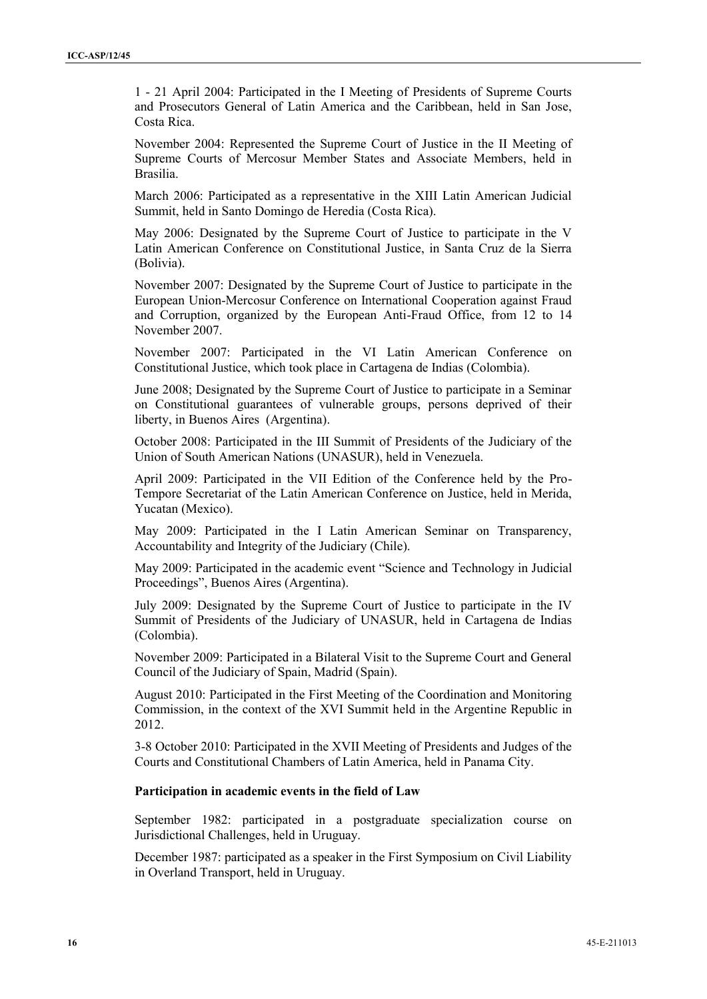1 - 21 April 2004: Participated in the I Meeting of Presidents of Supreme Courts and Prosecutors General of Latin America and the Caribbean, held in San Jose, Costa Rica.

November 2004: Represented the Supreme Court of Justice in the II Meeting of Supreme Courts of Mercosur Member States and Associate Members, held in Brasilia.

March 2006: Participated as a representative in the XIII Latin American Judicial Summit, held in Santo Domingo de Heredia (Costa Rica).

May 2006: Designated by the Supreme Court of Justice to participate in the V Latin American Conference on Constitutional Justice, in Santa Cruz de la Sierra (Bolivia).

November 2007: Designated by the Supreme Court of Justice to participate in the European Union-Mercosur Conference on International Cooperation against Fraud and Corruption, organized by the European Anti-Fraud Office, from 12 to 14 November 2007.

November 2007: Participated in the VI Latin American Conference on Constitutional Justice, which took place in Cartagena de Indias (Colombia).

June 2008; Designated by the Supreme Court of Justice to participate in a Seminar on Constitutional guarantees of vulnerable groups, persons deprived of their liberty, in Buenos Aires (Argentina).

October 2008: Participated in the III Summit of Presidents of the Judiciary of the Union of South American Nations (UNASUR), held in Venezuela.

April 2009: Participated in the VII Edition of the Conference held by the Pro- Tempore Secretariat of the Latin American Conference on Justice, held in Merida, Yucatan (Mexico).

May 2009: Participated in the I Latin American Seminar on Transparency, Accountability and Integrity of the Judiciary (Chile).

May 2009: Participated in the academic event "Science and Technology in Judicial Proceedings", Buenos Aires (Argentina).

July 2009: Designated by the Supreme Court of Justice to participate in the IV Summit of Presidents of the Judiciary of UNASUR, held in Cartagena de Indias (Colombia).

November 2009: Participated in a Bilateral Visit to the Supreme Court and General Council of the Judiciary of Spain, Madrid (Spain).

August 2010: Participated in the First Meeting of the Coordination and Monitoring Commission, in the context of the XVI Summit held in the Argentine Republic in 2012.

3-8 October 2010: Participated in the XVII Meeting of Presidents and Judges of the Courts and Constitutional Chambers of Latin America, held in Panama City.

#### **Participation in academic events in the field of Law**

September 1982: participated in a postgraduate specialization course on Jurisdictional Challenges, held in Uruguay.

December 1987: participated as a speaker in the First Symposium on Civil Liability in Overland Transport, held in Uruguay.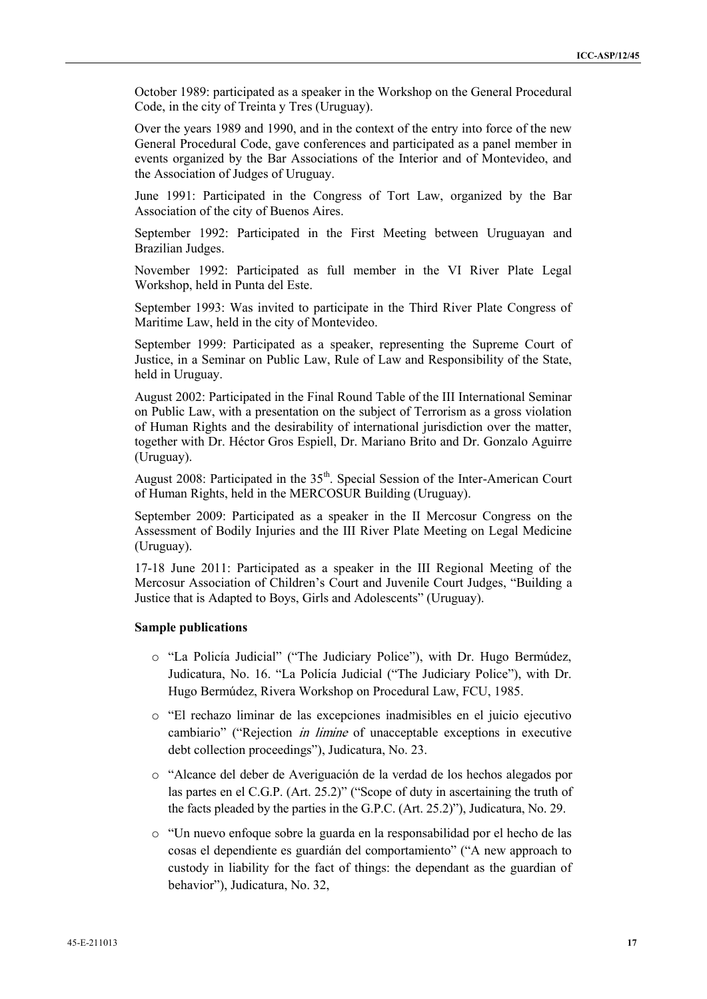October 1989: participated as a speaker in the Workshop on the General Procedural Code, in the city of Treinta y Tres (Uruguay).

Over the years 1989 and 1990, and in the context of the entry into force of the new General Procedural Code, gave conferences and participated as a panel member in events organized by the Bar Associations of the Interior and of Montevideo, and the Association of Judges of Uruguay.

June 1991: Participated in the Congress of Tort Law, organized by the Bar Association of the city of Buenos Aires.

September 1992: Participated in the First Meeting between Uruguayan and Brazilian Judges.

November 1992: Participated as full member in the VI River Plate Legal Workshop, held in Punta del Este.

September 1993: Was invited to participate in the Third River Plate Congress of Maritime Law, held in the city of Montevideo.

September 1999: Participated as a speaker, representing the Supreme Court of Justice, in a Seminar on Public Law, Rule of Law and Responsibility of the State, held in Uruguay.

August 2002: Participated in the Final Round Table of the III International Seminar on Public Law, with a presentation on the subject of Terrorism as a gross violation of Human Rights and the desirability of international jurisdiction over the matter, together with Dr. Héctor Gros Espiell, Dr. Mariano Brito and Dr. Gonzalo Aguirre (Uruguay).

August 2008: Participated in the 35<sup>th</sup>. Special Session of the Inter-American Court of Human Rights, held in the MERCOSUR Building (Uruguay).

September 2009: Participated as a speaker in the II Mercosur Congress on the Assessment of Bodily Injuries and the III River Plate Meeting on Legal Medicine (Uruguay).

17-18 June 2011: Participated as a speaker in the III Regional Meeting of the Mercosur Association of Children's Court and Juvenile Court Judges, "Building a Justice that is Adapted to Boys, Girls and Adolescents" (Uruguay).

#### **Sample publications**

- o "La Policía Judicial" ("The Judiciary Police"), with Dr. Hugo Bermúdez, Judicatura, No. 16. "La Policía Judicial ("The Judiciary Police"), with Dr. Hugo Bermúdez, Rivera Workshop on Procedural Law, FCU, 1985.
- o "El rechazo liminar de las excepciones inadmisibles en el juicio ejecutivo cambiario" ("Rejection *in limine* of unacceptable exceptions in executive debt collection proceedings"), Judicatura, No. 23.
- o "Alcance del deber de Averiguación de la verdad de los hechos alegados por las partes en el C.G.P. (Art. 25.2)" ("Scope of duty in ascertaining the truth of the facts pleaded by the parties in the G.P.C. (Art. 25.2)"), Judicatura, No. 29.
- o "Un nuevo enfoque sobre la guarda en la responsabilidad por el hecho de las cosas el dependiente es guardián del comportamiento" ("A new approach to custody in liability for the fact of things: the dependant as the guardian of behavior"), Judicatura, No. 32,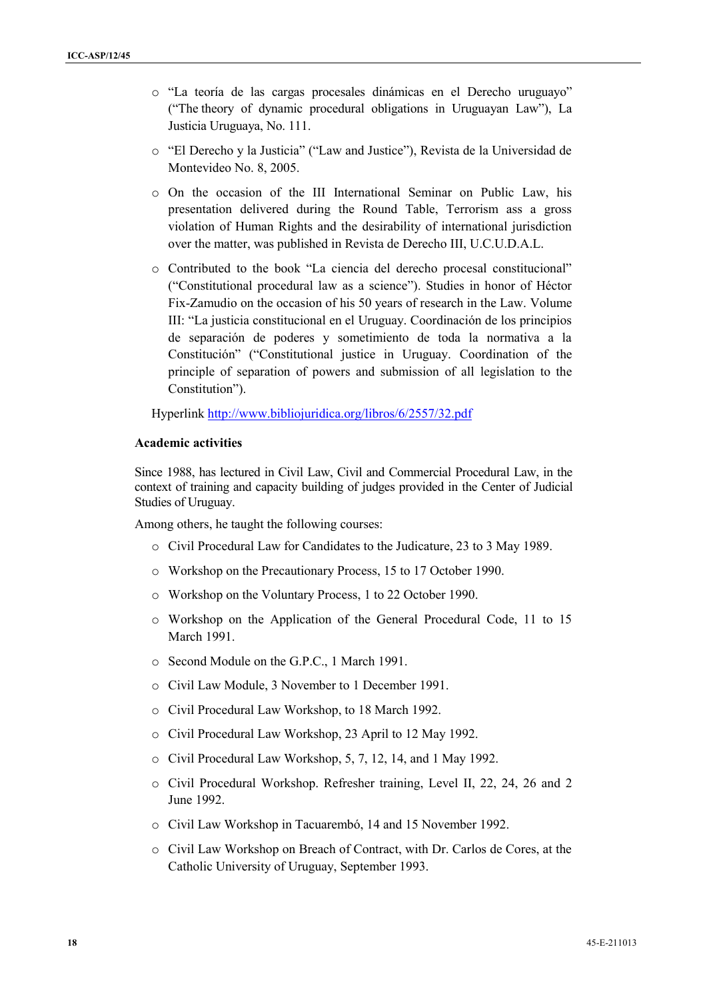- o "La teoría de las cargas procesales dinámicas en el Derecho uruguayo" ("The theory of dynamic procedural obligations in Uruguayan Law"), La Justicia Uruguaya, No. 111.
- o "El Derecho y la Justicia" ("Law and Justice"), Revista de la Universidad de Montevideo No. 8, 2005.
- o On the occasion of the III International Seminar on Public Law, his presentation delivered during the Round Table, Terrorism ass a gross violation of Human Rights and the desirability of international jurisdiction over the matter, was published in Revista de Derecho III, U.C.U.D.A.L.
- o Contributed to the book "La ciencia del derecho procesal constitucional" ("Constitutional procedural law as a science"). Studies in honor of Héctor Fix-Zamudio on the occasion of his 50 years of research in the Law. Volume III: "La justicia constitucional en el Uruguay. Coordinación de los principios de separación de poderes y sometimiento de toda la normativa a la Constitución" ("Constitutional justice in Uruguay. Coordination of the principle of separation of powers and submission of all legislation to the Constitution").

Hyperlink http://www.bibliojuridica.org/libros/6/2557/32.pdf

#### **Academic activities**

Since 1988, has lectured in Civil Law, Civil and Commercial Procedural Law, in the context of training and capacity building of judges provided in the Center of Judicial Studies of Uruguay.

Among others, he taught the following courses:

- o Civil Procedural Law for Candidates to the Judicature, 23 to 3 May 1989.
- o Workshop on the Precautionary Process, 15 to 17 October 1990.
- o Workshop on the Voluntary Process, 1 to 22 October 1990.
- o Workshop on the Application of the General Procedural Code, 11 to 15 March 1991.
- o Second Module on the G.P.C., 1 March 1991.
- o Civil Law Module, 3 November to 1 December 1991.
- o Civil Procedural Law Workshop, to 18 March 1992.
- o Civil Procedural Law Workshop, 23 April to 12 May 1992.
- o Civil Procedural Law Workshop, 5, 7, 12, 14, and 1 May 1992.
- o Civil Procedural Workshop. Refresher training, Level II, 22, 24, 26 and 2 June 1992.
- o Civil Law Workshop in Tacuarembó, 14 and 15 November 1992.
- o Civil Law Workshop on Breach of Contract, with Dr. Carlos de Cores, at the Catholic University of Uruguay, September 1993.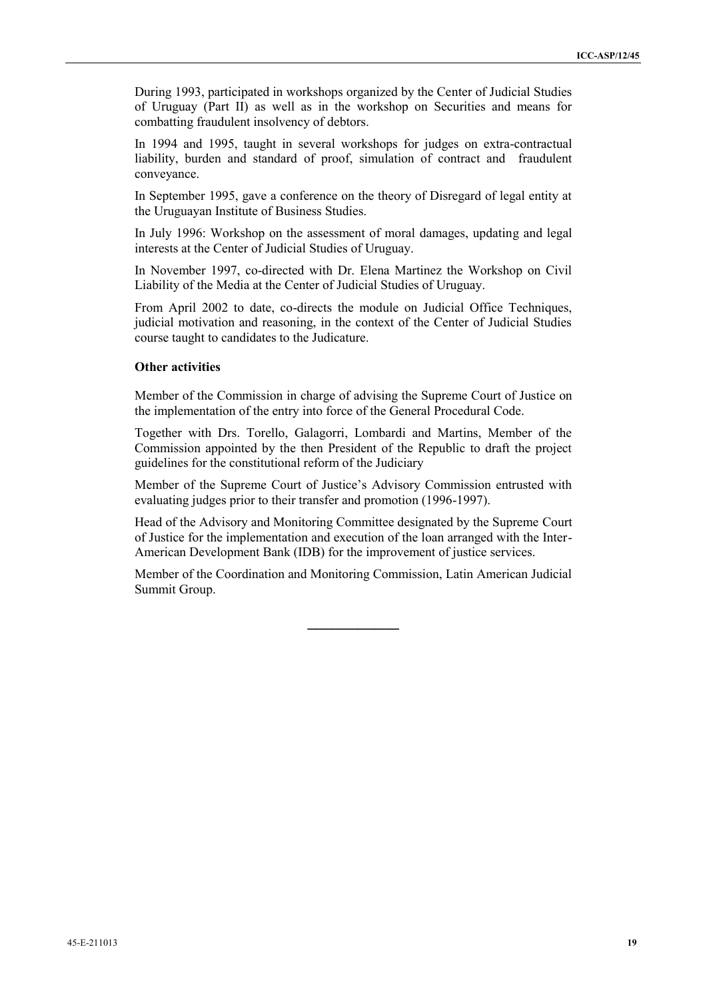During 1993, participated in workshops organized by the Center of Judicial Studies of Uruguay (Part II) as well as in the workshop on Securities and means for combatting fraudulent insolvency of debtors.

In 1994 and 1995, taught in several workshops for judges on extra-contractual liability, burden and standard of proof, simulation of contract and fraudulent conveyance.

In September 1995, gave a conference on the theory of Disregard of legal entity at the Uruguayan Institute of Business Studies.

In July 1996: Workshop on the assessment of moral damages, updating and legal interests at the Center of Judicial Studies of Uruguay.

In November 1997, co-directed with Dr. Elena Martinez the Workshop on Civil Liability of the Media at the Center of Judicial Studies of Uruguay.

From April 2002 to date, co-directs the module on Judicial Office Techniques, judicial motivation and reasoning, in the context of the Center of Judicial Studies course taught to candidates to the Judicature.

#### **Other activities**

Member of the Commission in charge of advising the Supreme Court of Justice on the implementation of the entry into force of the General Procedural Code.

Together with Drs. Torello, Galagorri, Lombardi and Martins, Member of the Commission appointed by the then President of the Republic to draft the project guidelines for the constitutional reform of the Judiciary

Member of the Supreme Court of Justice's Advisory Commission entrusted with evaluating judges prior to their transfer and promotion (1996-1997).

Head of the Advisory and Monitoring Committee designated by the Supreme Court of Justice for the implementation and execution of the loan arranged with the Inter- American Development Bank (IDB) for the improvement of justice services.

Member of the Coordination and Monitoring Commission, Latin American Judicial Summit Group.

**\_\_\_\_\_\_\_\_\_\_\_**

45-E-211013 **19**